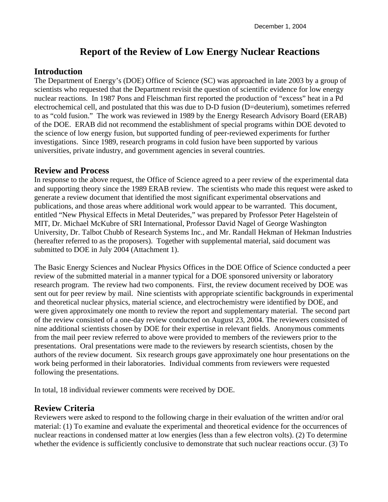# **Report of the Review of Low Energy Nuclear Reactions**

### **Introduction**

The Department of Energy's (DOE) Office of Science (SC) was approached in late 2003 by a group of scientists who requested that the Department revisit the question of scientific evidence for low energy nuclear reactions. In 1987 Pons and Fleischman first reported the production of "excess" heat in a Pd electrochemical cell, and postulated that this was due to D-D fusion (D=deuterium), sometimes referred to as "cold fusion." The work was reviewed in 1989 by the Energy Research Advisory Board (ERAB) of the DOE. ERAB did not recommend the establishment of special programs within DOE devoted to the science of low energy fusion, but supported funding of peer-reviewed experiments for further investigations. Since 1989, research programs in cold fusion have been supported by various universities, private industry, and government agencies in several countries.

### **Review and Process**

In response to the above request, the Office of Science agreed to a peer review of the experimental data and supporting theory since the 1989 ERAB review. The scientists who made this request were asked to generate a review document that identified the most significant experimental observations and publications, and those areas where additional work would appear to be warranted. This document, entitled "New Physical Effects in Metal Deuterides," was prepared by Professor Peter Hagelstein of MIT, Dr. Michael McKubre of SRI International, Professor David Nagel of George Washington University, Dr. Talbot Chubb of Research Systems Inc., and Mr. Randall Hekman of Hekman Industries (hereafter referred to as the proposers). Together with supplemental material, said document was submitted to DOE in July 2004 (Attachment 1).

The Basic Energy Sciences and Nuclear Physics Offices in the DOE Office of Science conducted a peer review of the submitted material in a manner typical for a DOE sponsored university or laboratory research program. The review had two components. First, the review document received by DOE was sent out for peer review by mail. Nine scientists with appropriate scientific backgrounds in experimental and theoretical nuclear physics, material science, and electrochemistry were identified by DOE, and were given approximately one month to review the report and supplementary material. The second part of the review consisted of a one-day review conducted on August 23, 2004. The reviewers consisted of nine additional scientists chosen by DOE for their expertise in relevant fields. Anonymous comments from the mail peer review referred to above were provided to members of the reviewers prior to the presentations. Oral presentations were made to the reviewers by research scientists, chosen by the authors of the review document. Six research groups gave approximately one hour presentations on the work being performed in their laboratories. Individual comments from reviewers were requested following the presentations.

In total, 18 individual reviewer comments were received by DOE.

### **Review Criteria**

Reviewers were asked to respond to the following charge in their evaluation of the written and/or oral material: (1) To examine and evaluate the experimental and theoretical evidence for the occurrences of nuclear reactions in condensed matter at low energies (less than a few electron volts). (2) To determine whether the evidence is sufficiently conclusive to demonstrate that such nuclear reactions occur. (3) To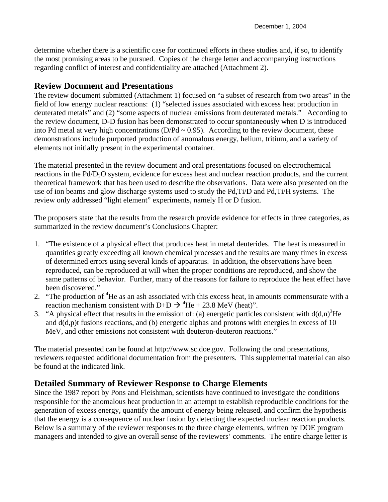determine whether there is a scientific case for continued efforts in these studies and, if so, to identify the most promising areas to be pursued. Copies of the charge letter and accompanying instructions regarding conflict of interest and confidentiality are attached (Attachment 2).

#### **Review Document and Presentations**

The review document submitted (Attachment 1) focused on "a subset of research from two areas" in the field of low energy nuclear reactions: (1) "selected issues associated with excess heat production in deuterated metals" and (2) "some aspects of nuclear emissions from deuterated metals." According to the review document, D-D fusion has been demonstrated to occur spontaneously when D is introduced into Pd metal at very high concentrations ( $D/Pd \sim 0.95$ ). According to the review document, these demonstrations include purported production of anomalous energy, helium, tritium, and a variety of elements not initially present in the experimental container.

The material presented in the review document and oral presentations focused on electrochemical reactions in the Pd/D<sub>2</sub>O system, evidence for excess heat and nuclear reaction products, and the current theoretical framework that has been used to describe the observations. Data were also presented on the use of ion beams and glow discharge systems used to study the Pd,Ti/D and Pd,Ti/H systems. The review only addressed "light element" experiments, namely H or D fusion.

The proposers state that the results from the research provide evidence for effects in three categories, as summarized in the review document's Conclusions Chapter:

- 1. "The existence of a physical effect that produces heat in metal deuterides. The heat is measured in quantities greatly exceeding all known chemical processes and the results are many times in excess of determined errors using several kinds of apparatus. In addition, the observations have been reproduced, can be reproduced at will when the proper conditions are reproduced, and show the same patterns of behavior. Further, many of the reasons for failure to reproduce the heat effect have been discovered."
- 2. "The production of  ${}^{4}$ He as an ash associated with this excess heat, in amounts commensurate with a reaction mechanism consistent with D+D  $\rightarrow$  <sup>4</sup>He + 23.8 MeV (heat)".
- 3. "A physical effect that results in the emission of: (a) energetic particles consistent with  $d(d,n)^3$ He and  $d(d,p)$ t fusions reactions, and (b) energetic alphas and protons with energies in excess of 10 MeV, and other emissions not consistent with deuteron-deuteron reactions."

The material presented can be found at http://www.sc.doe.gov. Following the oral presentations, reviewers requested additional documentation from the presenters. This supplemental material can also be found at the indicated link.

### **Detailed Summary of Reviewer Response to Charge Elements**

Since the 1987 report by Pons and Fleishman, scientists have continued to investigate the conditions responsible for the anomalous heat production in an attempt to establish reproducible conditions for the generation of excess energy, quantify the amount of energy being released, and confirm the hypothesis that the energy is a consequence of nuclear fusion by detecting the expected nuclear reaction products. Below is a summary of the reviewer responses to the three charge elements, written by DOE program managers and intended to give an overall sense of the reviewers' comments. The entire charge letter is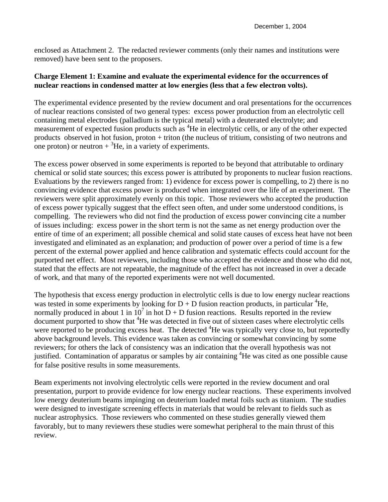enclosed as Attachment 2. The redacted reviewer comments (only their names and institutions were removed) have been sent to the proposers.

#### **Charge Element 1: Examine and evaluate the experimental evidence for the occurrences of nuclear reactions in condensed matter at low energies (less that a few electron volts).**

The experimental evidence presented by the review document and oral presentations for the occurrences of nuclear reactions consisted of two general types: excess power production from an electrolytic cell containing metal electrodes (palladium is the typical metal) with a deuterated electrolyte; and measurement of expected fusion products such as <sup>4</sup>He in electrolytic cells, or any of the other expected products observed in hot fusion, proton + triton (the nucleus of tritium, consisting of two neutrons and one proton) or neutron  $+{}^{3}$ He, in a variety of experiments.

The excess power observed in some experiments is reported to be beyond that attributable to ordinary chemical or solid state sources; this excess power is attributed by proponents to nuclear fusion reactions. Evaluations by the reviewers ranged from: 1) evidence for excess power is compelling, to 2) there is no convincing evidence that excess power is produced when integrated over the life of an experiment. The reviewers were split approximately evenly on this topic. Those reviewers who accepted the production of excess power typically suggest that the effect seen often, and under some understood conditions, is compelling. The reviewers who did not find the production of excess power convincing cite a number of issues including: excess power in the short term is not the same as net energy production over the entire of time of an experiment; all possible chemical and solid state causes of excess heat have not been investigated and eliminated as an explanation; and production of power over a period of time is a few percent of the external power applied and hence calibration and systematic effects could account for the purported net effect. Most reviewers, including those who accepted the evidence and those who did not, stated that the effects are not repeatable, the magnitude of the effect has not increased in over a decade of work, and that many of the reported experiments were not well documented.

The hypothesis that excess energy production in electrolytic cells is due to low energy nuclear reactions was tested in some experiments by looking for  $D + D$  fusion reaction products, in particular <sup>4</sup>He, normally produced in about 1 in  $10^7$  in hot D + D fusion reactions. Results reported in the review document purported to show that <sup>4</sup>He was detected in five out of sixteen cases where electrolytic cells were reported to be producing excess heat. The detected <sup>4</sup>He was typically very close to, but reportedly above background levels. This evidence was taken as convincing or somewhat convincing by some reviewers; for others the lack of consistency was an indication that the overall hypothesis was not justified. Contamination of apparatus or samples by air containing <sup>4</sup>He was cited as one possible cause for false positive results in some measurements.

Beam experiments not involving electrolytic cells were reported in the review document and oral presentation, purport to provide evidence for low energy nuclear reactions. These experiments involved low energy deuterium beams impinging on deuterium loaded metal foils such as titanium. The studies were designed to investigate screening effects in materials that would be relevant to fields such as nuclear astrophysics. Those reviewers who commented on these studies generally viewed them favorably, but to many reviewers these studies were somewhat peripheral to the main thrust of this review.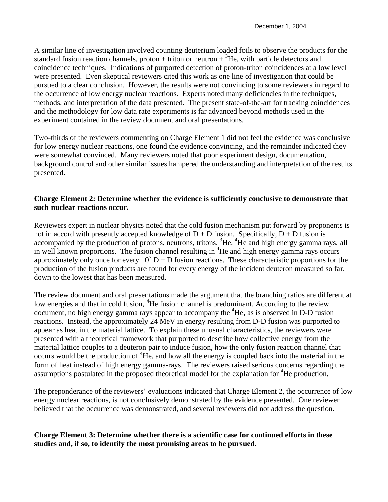A similar line of investigation involved counting deuterium loaded foils to observe the products for the standard fusion reaction channels, proton + triton or neutron  $+{}^{3}$ He, with particle detectors and coincidence techniques. Indications of purported detection of proton-triton coincidences at a low level were presented. Even skeptical reviewers cited this work as one line of investigation that could be pursued to a clear conclusion. However, the results were not convincing to some reviewers in regard to the occurrence of low energy nuclear reactions. Experts noted many deficiencies in the techniques, methods, and interpretation of the data presented. The present state-of-the-art for tracking coincidences and the methodology for low data rate experiments is far advanced beyond methods used in the experiment contained in the review document and oral presentations.

Two-thirds of the reviewers commenting on Charge Element 1 did not feel the evidence was conclusive for low energy nuclear reactions, one found the evidence convincing, and the remainder indicated they were somewhat convinced. Many reviewers noted that poor experiment design, documentation, background control and other similar issues hampered the understanding and interpretation of the results presented.

#### **Charge Element 2: Determine whether the evidence is sufficiently conclusive to demonstrate that such nuclear reactions occur.**

Reviewers expert in nuclear physics noted that the cold fusion mechanism put forward by proponents is not in accord with presently accepted knowledge of  $D + D$  fusion. Specifically,  $D + D$  fusion is accompanied by the production of protons, neutrons, tritons, <sup>3</sup>He, <sup>4</sup>He and high energy gamma rays, all in well known proportions. The fusion channel resulting in  ${}^{4}$ He and high energy gamma rays occurs approximately only once for every  $10^7$  D + D fusion reactions. These characteristic proportions for the production of the fusion products are found for every energy of the incident deuteron measured so far, down to the lowest that has been measured.

The review document and oral presentations made the argument that the branching ratios are different at low energies and that in cold fusion, <sup>4</sup>He fusion channel is predominant. According to the review document, no high energy gamma rays appear to accompany the <sup>4</sup>He, as is observed in D-D fusion reactions. Instead, the approximately 24 MeV in energy resulting from D-D fusion was purported to appear as heat in the material lattice. To explain these unusual characteristics, the reviewers were presented with a theoretical framework that purported to describe how collective energy from the material lattice couples to a deuteron pair to induce fusion, how the only fusion reaction channel that occurs would be the production of <sup>4</sup>He, and how all the energy is coupled back into the material in the form of heat instead of high energy gamma-rays. The reviewers raised serious concerns regarding the assumptions postulated in the proposed theoretical model for the explanation for <sup>4</sup>He production.

The preponderance of the reviewers' evaluations indicated that Charge Element 2, the occurrence of low energy nuclear reactions, is not conclusively demonstrated by the evidence presented. One reviewer believed that the occurrence was demonstrated, and several reviewers did not address the question.

#### **Charge Element 3: Determine whether there is a scientific case for continued efforts in these studies and, if so, to identify the most promising areas to be pursued.**